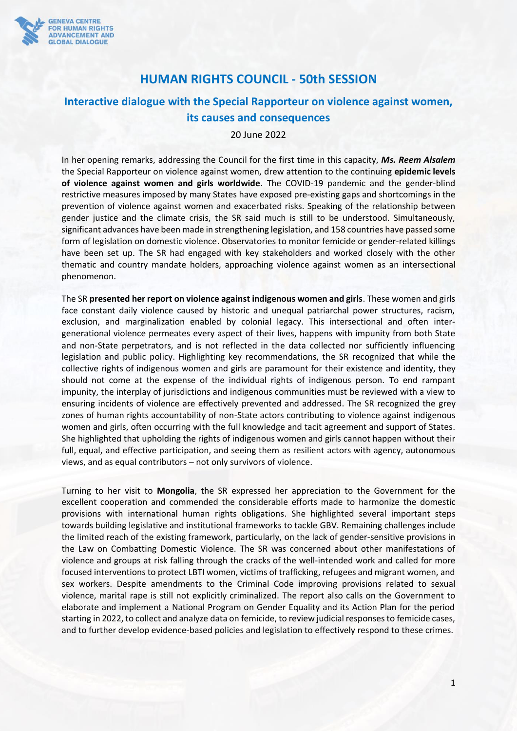

## **HUMAN RIGHTS COUNCIL - 50th SESSION**

# **Interactive dialogue with the Special Rapporteur on violence against women, its causes and consequences**

20 June 2022

In her opening remarks, addressing the Council for the first time in this capacity, *Ms. Reem Alsalem* the Special Rapporteur on violence against women, drew attention to the continuing **epidemic levels of violence against women and girls worldwide**. The COVID-19 pandemic and the gender-blind restrictive measures imposed by many States have exposed pre-existing gaps and shortcomings in the prevention of violence against women and exacerbated risks. Speaking of the relationship between gender justice and the climate crisis, the SR said much is still to be understood. Simultaneously, significant advances have been made in strengthening legislation, and 158 countries have passed some form of legislation on domestic violence. Observatories to monitor femicide or gender-related killings have been set up. The SR had engaged with key stakeholders and worked closely with the other thematic and country mandate holders, approaching violence against women as an intersectional phenomenon.

The SR **presented her report on violence against indigenous women and girls**. These women and girls face constant daily violence caused by historic and unequal patriarchal power structures, racism, exclusion, and marginalization enabled by colonial legacy. This intersectional and often intergenerational violence permeates every aspect of their lives, happens with impunity from both State and non-State perpetrators, and is not reflected in the data collected nor sufficiently influencing legislation and public policy. Highlighting key recommendations, the SR recognized that while the collective rights of indigenous women and girls are paramount for their existence and identity, they should not come at the expense of the individual rights of indigenous person. To end rampant impunity, the interplay of jurisdictions and indigenous communities must be reviewed with a view to ensuring incidents of violence are effectively prevented and addressed. The SR recognized the grey zones of human rights accountability of non-State actors contributing to violence against indigenous women and girls, often occurring with the full knowledge and tacit agreement and support of States. She highlighted that upholding the rights of indigenous women and girls cannot happen without their full, equal, and effective participation, and seeing them as resilient actors with agency, autonomous views, and as equal contributors – not only survivors of violence.

Turning to her visit to **Mongolia**, the SR expressed her appreciation to the Government for the excellent cooperation and commended the considerable efforts made to harmonize the domestic provisions with international human rights obligations. She highlighted several important steps towards building legislative and institutional frameworks to tackle GBV. Remaining challenges include the limited reach of the existing framework, particularly, on the lack of gender-sensitive provisions in the Law on Combatting Domestic Violence. The SR was concerned about other manifestations of violence and groups at risk falling through the cracks of the well-intended work and called for more focused interventions to protect LBTI women, victims of trafficking, refugees and migrant women, and sex workers. Despite amendments to the Criminal Code improving provisions related to sexual violence, marital rape is still not explicitly criminalized. The report also calls on the Government to elaborate and implement a National Program on Gender Equality and its Action Plan for the period starting in 2022, to collect and analyze data on femicide, to review judicial responses to femicide cases, and to further develop evidence-based policies and legislation to effectively respond to these crimes.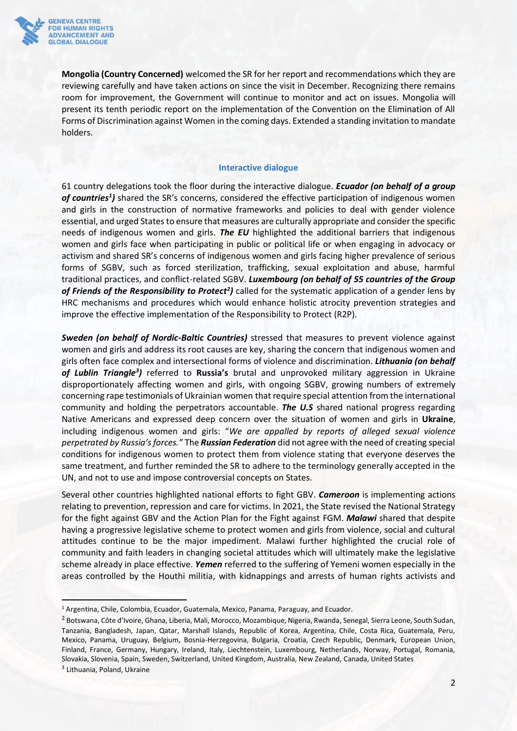

**Mongolia (Country Concerned)** welcomed the SR for her report and recommendations which they are reviewing carefully and have taken actions on since the visit in December. Recognizing there remains room for improvement, the Government will continue to monitor and act on issues. Mongolia will present its tenth periodic report on the implementation of the Convention on the Elimination of All Forms of Discrimination against Women in the coming days. Extended a standing invitation to mandate holders.

#### **Interactive dialogue**

61 country delegations took the floor during the interactive dialogue. *Ecuador (on behalf of a group*  of countries<sup>1</sup>) shared the SR's concerns, considered the effective participation of indigenous women and girls in the construction of normative frameworks and policies to deal with gender violence essential, and urged States to ensure that measures are culturally appropriate and consider the specific needs of indigenous women and girls. *The EU* highlighted the additional barriers that indigenous women and girls face when participating in public or political life or when engaging in advocacy or activism and shared SR's concerns of indigenous women and girls facing higher prevalence of serious forms of SGBV, such as forced sterilization, trafficking, sexual exploitation and abuse, harmful traditional practices, and conflict-related SGBV. *Luxembourg (on behalf of 55 countries of the Group*  of Friends of the Responsibility to Protect<sup>2</sup>) called for the systematic application of a gender lens by HRC mechanisms and procedures which would enhance holistic atrocity prevention strategies and improve the effective implementation of the Responsibility to Protect (R2P).

*Sweden (on behalf of Nordic-Baltic Countries)* stressed that measures to prevent violence against women and girls and address its root causes are key, sharing the concern that indigenous women and girls often face complex and intersectional forms of violence and discrimination. *Lithuania (on behalf of Lublin Triangle<sup>3</sup> )* referred to **Russia's** brutal and unprovoked military aggression in Ukraine disproportionately affecting women and girls, with ongoing SGBV, growing numbers of extremely concerning rape testimonials of Ukrainian women that require special attention from the international community and holding the perpetrators accountable. *The U.S* shared national progress regarding Native Americans and expressed deep concern over the situation of women and girls in **Ukraine**, including indigenous women and girls: "*We are appalled by reports of alleged sexual violence perpetrated by Russia's forces."* The *Russian Federation* did not agree with the need of creating special conditions for indigenous women to protect them from violence stating that everyone deserves the same treatment, and further reminded the SR to adhere to the terminology generally accepted in the UN, and not to use and impose controversial concepts on States.

Several other countries highlighted national efforts to fight GBV. *Cameroon* is implementing actions relating to prevention, repression and care for victims. In 2021, the State revised the National Strategy for the fight against GBV and the Action Plan for the Fight against FGM. *Malawi* shared that despite having a progressive legislative scheme to protect women and girls from violence, social and cultural attitudes continue to be the major impediment. Malawi further highlighted the crucial role of community and faith leaders in changing societal attitudes which will ultimately make the legislative scheme already in place effective. *Yemen* referred to the suffering of Yemeni women especially in the areas controlled by the Houthi militia, with kidnappings and arrests of human rights activists and

<sup>1</sup> Argentina, Chile, Colombia, Ecuador, Guatemala, Mexico, Panama, Paraguay, and Ecuador.

<sup>2</sup> Botswana, Côte d'Ivoire, Ghana, Liberia, Mali, Morocco, Mozambique, Nigeria, Rwanda, Senegal, Sierra Leone, South Sudan, Tanzania, Bangladesh, Japan, Qatar, Marshall Islands, Republic of Korea, Argentina, Chile, Costa Rica, Guatemala, Peru, Mexico, Panama, Uruguay, Belgium, Bosnia-Herzegovina, Bulgaria, Croatia, Czech Republic, Denmark, European Union, Finland, France, Germany, Hungary, Ireland, Italy, Liechtenstein, Luxembourg, Netherlands, Norway, Portugal, Romania, Slovakia, Slovenia, Spain, Sweden, Switzerland, United Kingdom, Australia, New Zealand, Canada, United States 3 Lithuania, Poland, Ukraine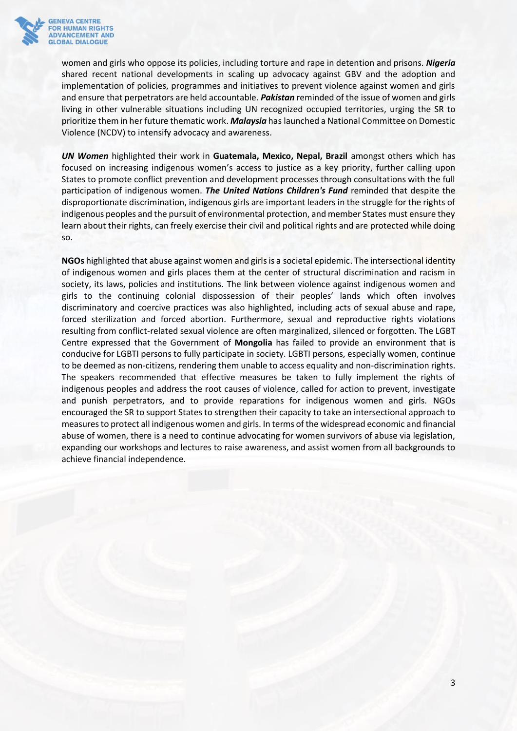

women and girls who oppose its policies, including torture and rape in detention and prisons. *Nigeria* shared recent national developments in scaling up advocacy against GBV and the adoption and implementation of policies, programmes and initiatives to prevent violence against women and girls and ensure that perpetrators are held accountable. *Pakistan* reminded of the issue of women and girls living in other vulnerable situations including UN recognized occupied territories, urging the SR to prioritize them in her future thematic work. *Malaysia* has launched a National Committee on Domestic Violence (NCDV) to intensify advocacy and awareness.

*UN Women* highlighted their work in **Guatemala, Mexico, Nepal, Brazil** amongst others which has focused on increasing indigenous women's access to justice as a key priority, further calling upon States to promote conflict prevention and development processes through consultations with the full participation of indigenous women. *The United Nations Children's Fund* reminded that despite the disproportionate discrimination, indigenous girls are important leaders in the struggle for the rights of indigenous peoples and the pursuit of environmental protection, and member States must ensure they learn about their rights, can freely exercise their civil and political rights and are protected while doing so.

**NGOs** highlighted that abuse against women and girls is a societal epidemic. The intersectional identity of indigenous women and girls places them at the center of structural discrimination and racism in society, its laws, policies and institutions. The link between violence against indigenous women and girls to the continuing colonial dispossession of their peoples' lands which often involves discriminatory and coercive practices was also highlighted, including acts of sexual abuse and rape, forced sterilization and forced abortion. Furthermore, sexual and reproductive rights violations resulting from conflict-related sexual violence are often marginalized, silenced or forgotten. The LGBT Centre expressed that the Government of **Mongolia** has failed to provide an environment that is conducive for LGBTI persons to fully participate in society. LGBTI persons, especially women, continue to be deemed as non-citizens, rendering them unable to access equality and non-discrimination rights. The speakers recommended that effective measures be taken to fully implement the rights of indigenous peoples and address the root causes of violence, called for action to prevent, investigate and punish perpetrators, and to provide reparations for indigenous women and girls. NGOs encouraged the SR to support States to strengthen their capacity to take an intersectional approach to measures to protect all indigenous women and girls. In terms of the widespread economic and financial abuse of women, there is a need to continue advocating for women survivors of abuse via legislation, expanding our workshops and lectures to raise awareness, and assist women from all backgrounds to achieve financial independence.